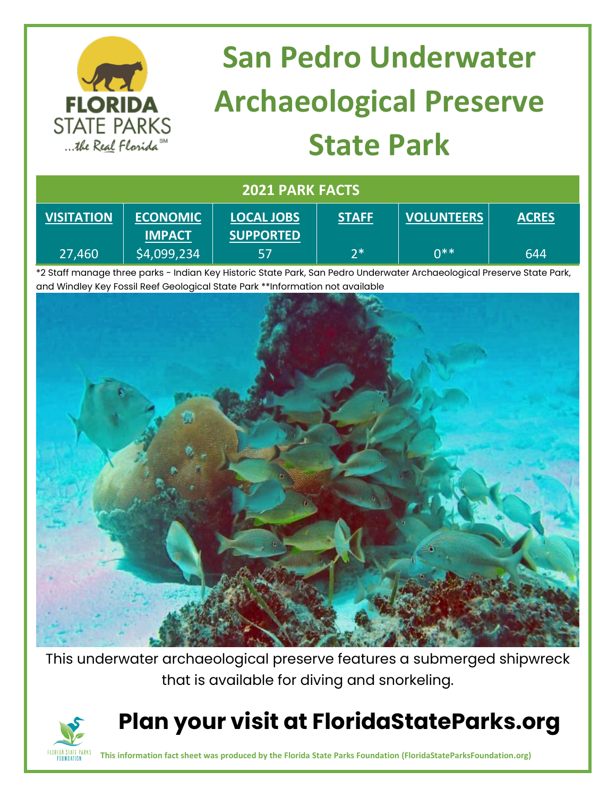

\*2 Staff manage three parks - Indian Key Historic State Park, San Pedro Underwater Archaeological Preserve State Park, and Windley Key Fossil Reef Geological State Park \*\*Information not available



This underwater archaeological preserve features a submerged shipwreck that is available for diving and snorkeling.



## **Plan your visit at FloridaStateParks.org**

**This information fact sheet was produced by the Florida State Parks Foundation (FloridaStateParksFoundation.org)**